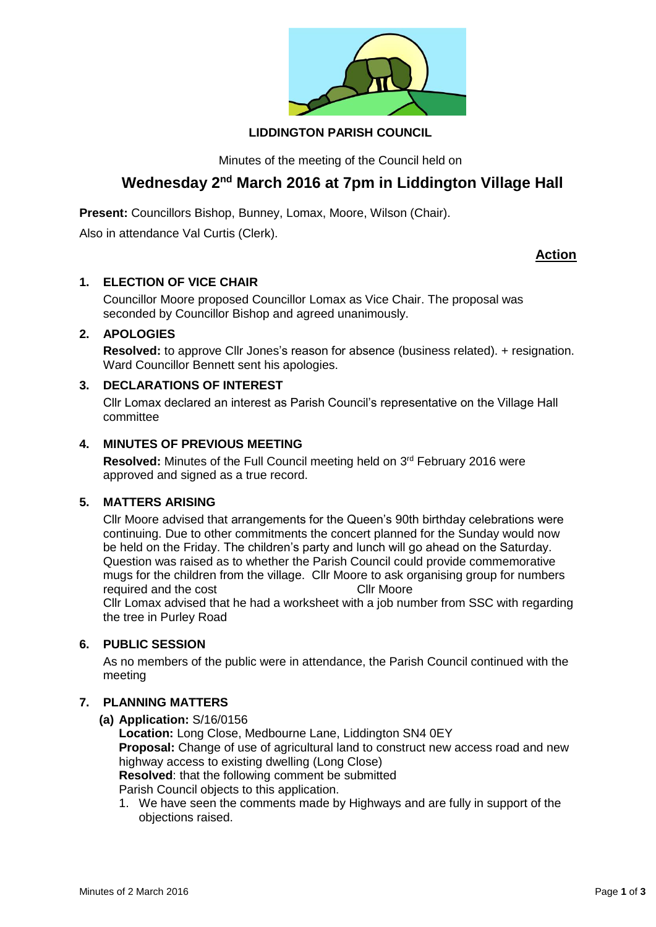

# **LIDDINGTON PARISH COUNCIL**

Minutes of the meeting of the Council held on

# Wednesday 2<sup>nd</sup> March 2016 at 7pm in Liddington Village Hall

**Present:** Councillors Bishop, Bunney, Lomax, Moore, Wilson (Chair).

Also in attendance Val Curtis (Clerk).

# **Action**

# **1. ELECTION OF VICE CHAIR**

Councillor Moore proposed Councillor Lomax as Vice Chair. The proposal was seconded by Councillor Bishop and agreed unanimously.

# **2. APOLOGIES**

**Resolved:** to approve Cllr Jones's reason for absence (business related). + resignation. Ward Councillor Bennett sent his apologies.

# **3. DECLARATIONS OF INTEREST**

Cllr Lomax declared an interest as Parish Council's representative on the Village Hall committee

# **4. MINUTES OF PREVIOUS MEETING**

Resolved: Minutes of the Full Council meeting held on 3<sup>rd</sup> February 2016 were approved and signed as a true record.

## **5. MATTERS ARISING**

Cllr Moore advised that arrangements for the Queen's 90th birthday celebrations were continuing. Due to other commitments the concert planned for the Sunday would now be held on the Friday. The children's party and lunch will go ahead on the Saturday. Question was raised as to whether the Parish Council could provide commemorative mugs for the children from the village. Cllr Moore to ask organising group for numbers required and the cost **Cllr Moore** Cllr Lomax advised that he had a worksheet with a job number from SSC with regarding the tree in Purley Road

# **6. PUBLIC SESSION**

As no members of the public were in attendance, the Parish Council continued with the meeting

## **7. PLANNING MATTERS**

**(a) Application:** S/16/0156

**Location:** Long Close, Medbourne Lane, Liddington SN4 0EY **Proposal:** Change of use of agricultural land to construct new access road and new highway access to existing dwelling (Long Close) **Resolved**: that the following comment be submitted Parish Council objects to this application.

1. We have seen the comments made by Highways and are fully in support of the objections raised.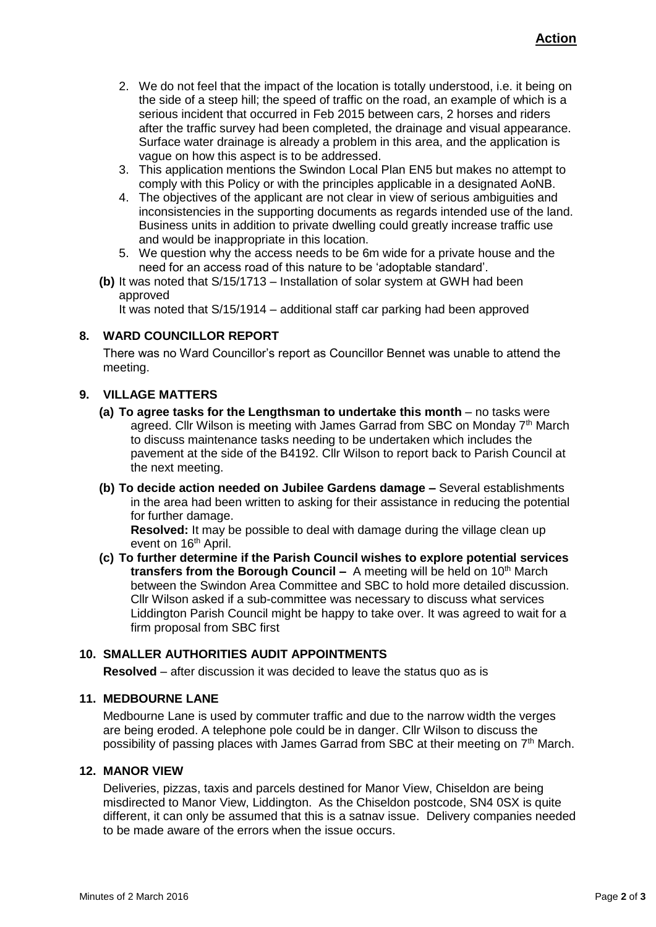- 2. We do not feel that the impact of the location is totally understood, i.e. it being on the side of a steep hill; the speed of traffic on the road, an example of which is a serious incident that occurred in Feb 2015 between cars, 2 horses and riders after the traffic survey had been completed, the drainage and visual appearance. Surface water drainage is already a problem in this area, and the application is vague on how this aspect is to be addressed.
- 3. This application mentions the Swindon Local Plan EN5 but makes no attempt to comply with this Policy or with the principles applicable in a designated AoNB.
- 4. The objectives of the applicant are not clear in view of serious ambiguities and inconsistencies in the supporting documents as regards intended use of the land. Business units in addition to private dwelling could greatly increase traffic use and would be inappropriate in this location.
- 5. We question why the access needs to be 6m wide for a private house and the need for an access road of this nature to be 'adoptable standard'.
- **(b)** It was noted that S/15/1713 Installation of solar system at GWH had been approved

It was noted that S/15/1914 – additional staff car parking had been approved

# **8. WARD COUNCILLOR REPORT**

There was no Ward Councillor's report as Councillor Bennet was unable to attend the meeting.

#### **9. VILLAGE MATTERS**

- **(a) To agree tasks for the Lengthsman to undertake this month** no tasks were agreed. Cllr Wilson is meeting with James Garrad from SBC on Monday 7<sup>th</sup> March to discuss maintenance tasks needing to be undertaken which includes the pavement at the side of the B4192. Cllr Wilson to report back to Parish Council at the next meeting.
- **(b) To decide action needed on Jubilee Gardens damage –** Several establishments in the area had been written to asking for their assistance in reducing the potential for further damage.

**Resolved:** It may be possible to deal with damage during the village clean up event on 16<sup>th</sup> April.

**(c) To further determine if the Parish Council wishes to explore potential services transfers from the Borough Council –** A meeting will be held on 10<sup>th</sup> March between the Swindon Area Committee and SBC to hold more detailed discussion. Cllr Wilson asked if a sub-committee was necessary to discuss what services Liddington Parish Council might be happy to take over. It was agreed to wait for a firm proposal from SBC first

#### **10. SMALLER AUTHORITIES AUDIT APPOINTMENTS**

**Resolved** – after discussion it was decided to leave the status quo as is

#### **11. MEDBOURNE LANE**

Medbourne Lane is used by commuter traffic and due to the narrow width the verges are being eroded. A telephone pole could be in danger. Cllr Wilson to discuss the possibility of passing places with James Garrad from SBC at their meeting on  $7<sup>th</sup>$  March.

#### **12. MANOR VIEW**

Deliveries, pizzas, taxis and parcels destined for Manor View, Chiseldon are being misdirected to Manor View, Liddington. As the Chiseldon postcode, SN4 0SX is quite different, it can only be assumed that this is a satnav issue. Delivery companies needed to be made aware of the errors when the issue occurs.